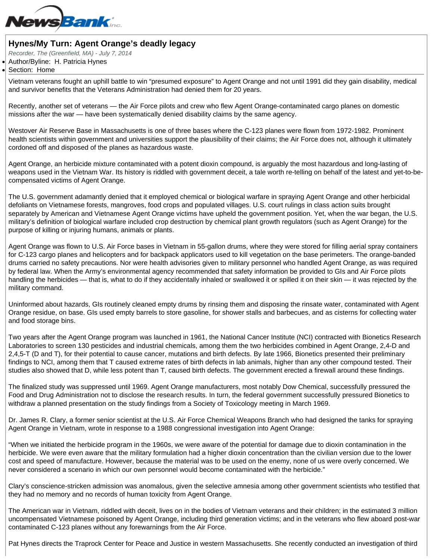## Hynes/My Turn: Agent Orange's deadly legacy

Recorder, The (Greenfield, MA) - July 7, 2014

Author/Byline: H. Patricia Hynes

## Section: Home

Vietnam veterans fought an uphill battle to win "presumed exposure" to Agent Orange and not until 1991 did they gain disability, medical and survivor benefits that the Veterans Administration had denied them for 20 years.

Recently, another set of veterans — the Air Force pilots and crew who flew Agent Orange-contaminated cargo planes on domestic missions after the war — have been systematically denied disability claims by the same agency.

Westover Air Reserve Base in Massachusetts is one of three bases where the C-123 planes were flown from 1972-1982. Prominent health scientists within government and universities support the plausibility of their claims; the Air Force does not, although it ultimately cordoned off and disposed of the planes as hazardous waste.

Agent Orange, an herbicide mixture contaminated with a potent dioxin compound, is arguably the most hazardous and long-lasting of weapons used in the Vietnam War. Its history is riddled with government deceit, a tale worth re-telling on behalf of the latest and yet-to-becompensated victims of Agent Orange.

The U.S. government adamantly denied that it employed chemical or biological warfare in spraying Agent Orange and other herbicidal defoliants on Vietnamese forests, mangroves, food crops and populated villages. U.S. court rulings in class action suits brought separately by American and Vietnamese Agent Orange victims have upheld the government position. Yet, when the war began, the U.S. military's definition of biological warfare included crop destruction by chemical plant growth regulators (such as Agent Orange) for the purpose of killing or injuring humans, animals or plants.

Agent Orange was flown to U.S. Air Force bases in Vietnam in 55-gallon drums, where they were stored for filling aerial spray containers for C-123 cargo planes and helicopters and for backpack applicators used to kill vegetation on the base perimeters. The orange-banded drums carried no safety precautions. Nor were health advisories given to military personnel who handled Agent Orange, as was required by federal law. When the Army's environmental agency recommended that safety information be provided to GIs and Air Force pilots handling the herbicides — that is, what to do if they accidentally inhaled or swallowed it or spilled it on their skin — it was rejected by the military command.

Uninformed about hazards, GIs routinely cleaned empty drums by rinsing them and disposing the rinsate water, contaminated with Agent Orange residue, on base. GIs used empty barrels to store gasoline, for shower stalls and barbecues, and as cisterns for collecting water and food storage bins.

Two years after the Agent Orange program was launched in 1961, the National Cancer Institute (NCI) contracted with Bionetics Research Laboratories to screen 130 pesticides and industrial chemicals, among them the two herbicides combined in Agent Orange, 2,4-D and 2,4,5-T (D and T), for their potential to cause cancer, mutations and birth defects. By late 1966, Bionetics presented their preliminary findings to NCI, among them that T caused extreme rates of birth defects in lab animals, higher than any other compound tested. Their studies also showed that D, while less potent than T, caused birth defects. The government erected a firewall around these findings.

The finalized study was suppressed until 1969. Agent Orange manufacturers, most notably Dow Chemical, successfully pressured the Food and Drug Administration not to disclose the research results. In turn, the federal government successfully pressured Bionetics to withdraw a planned presentation on the study findings from a Society of Toxicology meeting in March 1969.

Dr. James R. Clary, a former senior scientist at the U.S. Air Force Chemical Weapons Branch who had designed the tanks for spraying Agent Orange in Vietnam, wrote in response to a 1988 congressional investigation into Agent Orange:

"When we initiated the herbicide program in the 1960s, we were aware of the potential for damage due to dioxin contamination in the herbicide. We were even aware that the military formulation had a higher dioxin concentration than the civilian version due to the lower cost and speed of manufacture. However, because the material was to be used on the enemy, none of us were overly concerned. We never considered a scenario in which our own personnel would become contaminated with the herbicide."

Clary's conscience-stricken admission was anomalous, given the selective amnesia among other government scientists who testified that they had no memory and no records of human toxicity from Agent Orange.

The American war in Vietnam, riddled with deceit, lives on in the bodies of Vietnam veterans and their children; in the estimated 3 million uncompensated Vietnamese poisoned by Agent Orange, including third generation victims; and in the veterans who flew aboard post-war contaminated C-123 planes without any forewarnings from the Air Force.

Pat Hynes directs the Traprock Center for Peace and Justice in western Massachusetts. She recently conducted an investigation of third